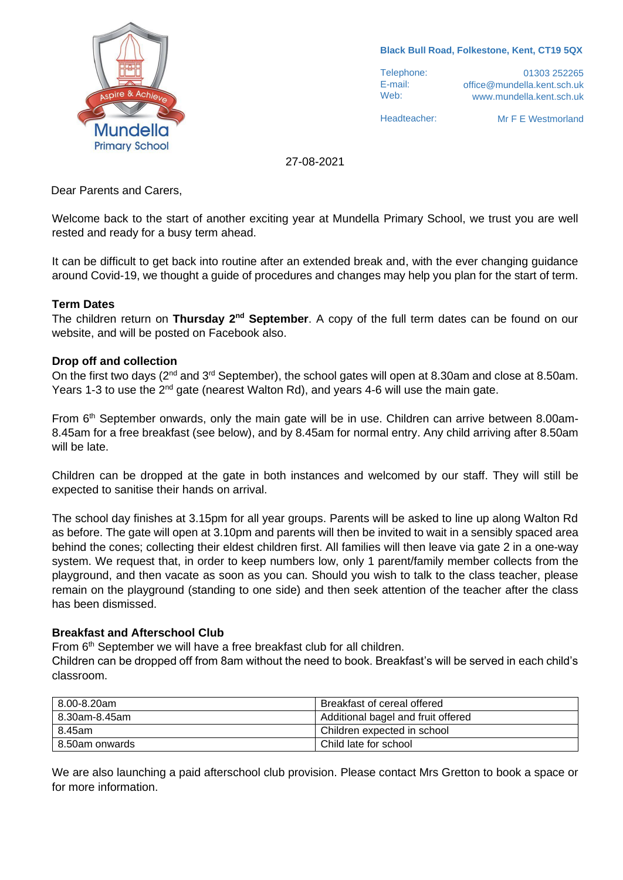

**Black Bull Road, Folkestone, Kent, CT19 5QX**

Telephone: E-mail: Web:

01303 252265 office@mundella.kent.sch.uk www.mundella.kent.sch.uk

Headteacher:

Mr F E Westmorland

27-08-2021

Dear Parents and Carers,

Welcome back to the start of another exciting year at Mundella Primary School, we trust you are well rested and ready for a busy term ahead.

It can be difficult to get back into routine after an extended break and, with the ever changing guidance around Covid-19, we thought a guide of procedures and changes may help you plan for the start of term.

### **Term Dates**

The children return on **Thursday 2nd September**. A copy of the full term dates can be found on our website, and will be posted on Facebook also.

#### **Drop off and collection**

On the first two days (2<sup>nd</sup> and 3<sup>rd</sup> September), the school gates will open at 8.30am and close at 8.50am. Years 1-3 to use the 2<sup>nd</sup> gate (nearest Walton Rd), and years 4-6 will use the main gate.

From 6<sup>th</sup> September onwards, only the main gate will be in use. Children can arrive between 8.00am-8.45am for a free breakfast (see below), and by 8.45am for normal entry. Any child arriving after 8.50am will be late.

Children can be dropped at the gate in both instances and welcomed by our staff. They will still be expected to sanitise their hands on arrival.

The school day finishes at 3.15pm for all year groups. Parents will be asked to line up along Walton Rd as before. The gate will open at 3.10pm and parents will then be invited to wait in a sensibly spaced area behind the cones; collecting their eldest children first. All families will then leave via gate 2 in a one-way system. We request that, in order to keep numbers low, only 1 parent/family member collects from the playground, and then vacate as soon as you can. Should you wish to talk to the class teacher, please remain on the playground (standing to one side) and then seek attention of the teacher after the class has been dismissed.

### **Breakfast and Afterschool Club**

From 6<sup>th</sup> September we will have a free breakfast club for all children.

Children can be dropped off from 8am without the need to book. Breakfast's will be served in each child's classroom.

| 8.00-8.20am    | Breakfast of cereal offered        |
|----------------|------------------------------------|
| 8.30am-8.45am  | Additional bagel and fruit offered |
| 8.45am         | Children expected in school        |
| 8.50am onwards | Child late for school              |

We are also launching a paid afterschool club provision. Please contact Mrs Gretton to book a space or for more information.